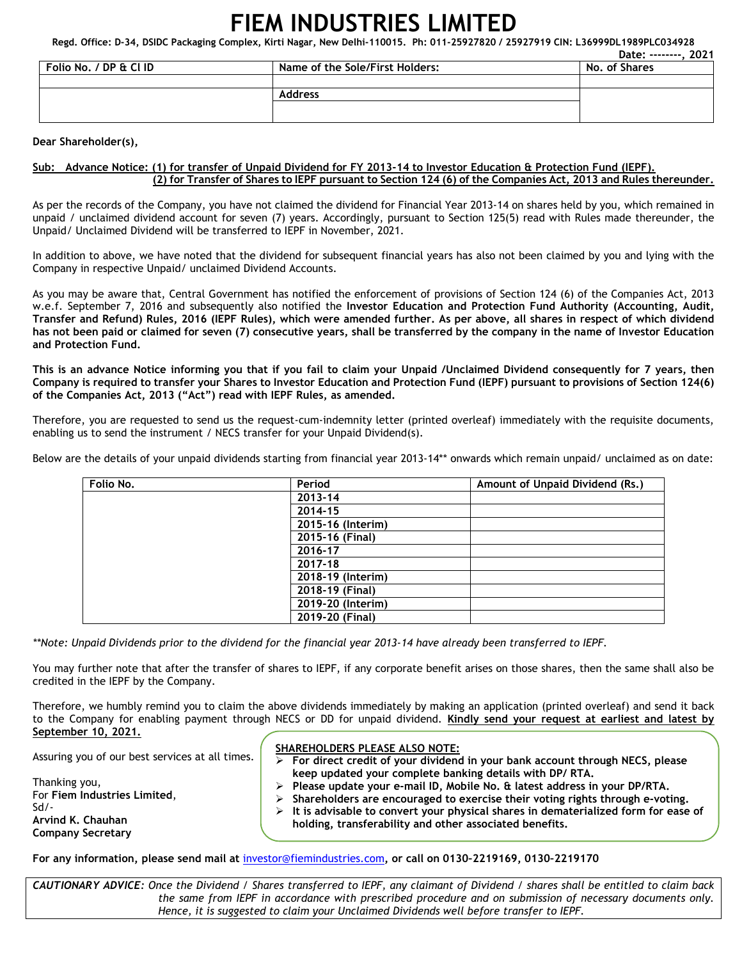# **FIEM INDUSTRIES LIMITED**

**Regd. Office: D-34, DSIDC Packaging Complex, Kirti Nagar, New Delhi-110015. Ph: 011-25927820 / 25927919 CIN: L36999DL1989PLC034928** 

|                        |                                 | . 2021<br>Date: --------. |
|------------------------|---------------------------------|---------------------------|
| Folio No. / DP & Cl ID | Name of the Sole/First Holders: | No. of Shares             |
|                        |                                 |                           |
|                        | <b>Address</b>                  |                           |
|                        |                                 |                           |
|                        |                                 |                           |

#### **Dear Shareholder(s),**

## **Sub: Advance Notice: (1) for transfer of Unpaid Dividend for FY 2013-14 to Investor Education & Protection Fund (IEPF). (2) for Transfer of Shares to IEPF pursuant to Section 124 (6) of the Companies Act, 2013 and Rules thereunder.**

As per the records of the Company, you have not claimed the dividend for Financial Year 2013-14 on shares held by you, which remained in unpaid / unclaimed dividend account for seven (7) years. Accordingly, pursuant to Section 125(5) read with Rules made thereunder, the Unpaid/ Unclaimed Dividend will be transferred to IEPF in November, 2021.

In addition to above, we have noted that the dividend for subsequent financial years has also not been claimed by you and lying with the Company in respective Unpaid/ unclaimed Dividend Accounts.

As you may be aware that, Central Government has notified the enforcement of provisions of Section 124 (6) of the Companies Act, 2013 w.e.f. September 7, 2016 and subsequently also notified the **Investor Education and Protection Fund Authority (Accounting, Audit, Transfer and Refund) Rules, 2016 (IEPF Rules), which were amended further. As per above, all shares in respect of which dividend has not been paid or claimed for seven (7) consecutive years, shall be transferred by the company in the name of Investor Education and Protection Fund.** 

**This is an advance Notice informing you that if you fail to claim your Unpaid /Unclaimed Dividend consequently for 7 years, then Company is required to transfer your Shares to Investor Education and Protection Fund (IEPF) pursuant to provisions of Section 124(6) of the Companies Act, 2013 ("Act") read with IEPF Rules, as amended.** 

Therefore, you are requested to send us the request-cum-indemnity letter (printed overleaf) immediately with the requisite documents, enabling us to send the instrument / NECS transfer for your Unpaid Dividend(s).

Below are the details of your unpaid dividends starting from financial year 2013-14\*\* onwards which remain unpaid/ unclaimed as on date:

| Folio No. | Period            | Amount of Unpaid Dividend (Rs.) |
|-----------|-------------------|---------------------------------|
|           | 2013-14           |                                 |
|           | 2014-15           |                                 |
|           | 2015-16 (Interim) |                                 |
|           | 2015-16 (Final)   |                                 |
|           | 2016-17           |                                 |
|           | 2017-18           |                                 |
|           | 2018-19 (Interim) |                                 |
|           | 2018-19 (Final)   |                                 |
|           | 2019-20 (Interim) |                                 |
|           | 2019-20 (Final)   |                                 |

*\*\*Note: Unpaid Dividends prior to the dividend for the financial year 2013-14 have already been transferred to IEPF.* 

You may further note that after the transfer of shares to IEPF, if any corporate benefit arises on those shares, then the same shall also be credited in the IEPF by the Company.

Therefore, we humbly remind you to claim the above dividends immediately by making an application (printed overleaf) and send it back to the Company for enabling payment through NECS or DD for unpaid dividend. **Kindly send your request at earliest and latest by September 10, 2021.** 

Assuring you of our best services at all times.

Thanking you, For **Fiem Industries Limited**, Sd/- **Arvind K. Chauhan Company Secretary** 

### **SHAREHOLDERS PLEASE ALSO NOTE:**

 **For direct credit of your dividend in your bank account through NECS, please keep updated your complete banking details with DP/ RTA. Please update your e-mail ID, Mobile No. & latest address in your DP/RTA. Shareholders are encouraged to exercise their voting rights through e-voting. It is advisable to convert your physical shares in dematerialized form for ease of holding, transferability and other associated benefits.** 

**For any information, please send mail at** investor@fiemindustries.com**, or call on 0130–2219169, 0130–2219170** 

*CAUTIONARY ADVICE: Once the Dividend / Shares transferred to IEPF, any claimant of Dividend / shares shall be entitled to claim back the same from IEPF in accordance with prescribed procedure and on submission of necessary documents only. Hence, it is suggested to claim your Unclaimed Dividends well before transfer to IEPF.*